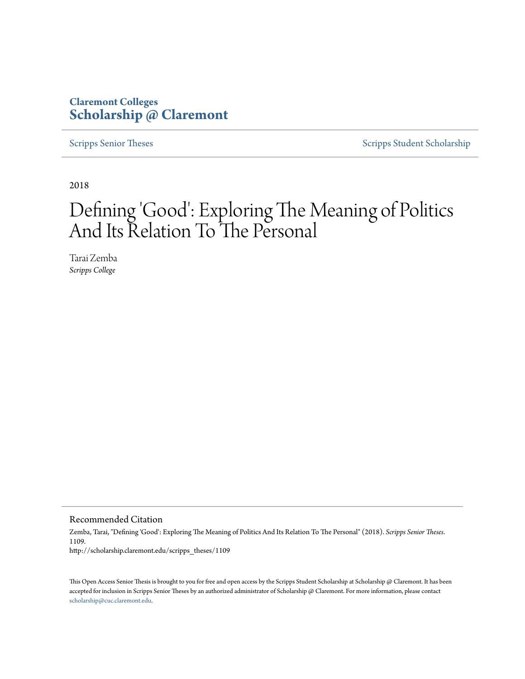## **Claremont Colleges [Scholarship @ Claremont](http://scholarship.claremont.edu)**

[Scripps Senior Theses](http://scholarship.claremont.edu/scripps_theses) [Scripps Student Scholarship](http://scholarship.claremont.edu/scripps_student)

2018

# Defining 'Good': Exploring The Meaning of Politics And Its Relation To The Personal

Tarai Zemba *Scripps College*

Recommended Citation

Zemba, Tarai, "Defining 'Good': Exploring The Meaning of Politics And Its Relation To The Personal" (2018). *Scripps Senior Theses*. 1109. http://scholarship.claremont.edu/scripps\_theses/1109

This Open Access Senior Thesis is brought to you for free and open access by the Scripps Student Scholarship at Scholarship @ Claremont. It has been accepted for inclusion in Scripps Senior Theses by an authorized administrator of Scholarship @ Claremont. For more information, please contact [scholarship@cuc.claremont.edu.](mailto:scholarship@cuc.claremont.edu)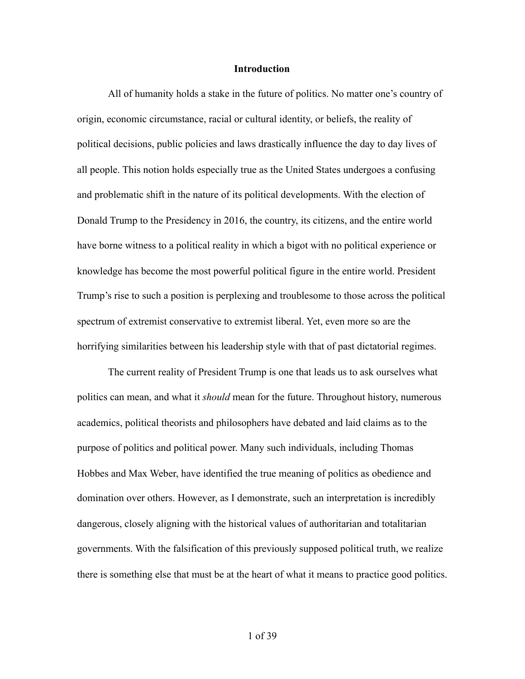#### **Introduction**

 All of humanity holds a stake in the future of politics. No matter one's country of origin, economic circumstance, racial or cultural identity, or beliefs, the reality of political decisions, public policies and laws drastically influence the day to day lives of all people. This notion holds especially true as the United States undergoes a confusing and problematic shift in the nature of its political developments. With the election of Donald Trump to the Presidency in 2016, the country, its citizens, and the entire world have borne witness to a political reality in which a bigot with no political experience or knowledge has become the most powerful political figure in the entire world. President Trump's rise to such a position is perplexing and troublesome to those across the political spectrum of extremist conservative to extremist liberal. Yet, even more so are the horrifying similarities between his leadership style with that of past dictatorial regimes.

 The current reality of President Trump is one that leads us to ask ourselves what politics can mean, and what it *should* mean for the future. Throughout history, numerous academics, political theorists and philosophers have debated and laid claims as to the purpose of politics and political power. Many such individuals, including Thomas Hobbes and Max Weber, have identified the true meaning of politics as obedience and domination over others. However, as I demonstrate, such an interpretation is incredibly dangerous, closely aligning with the historical values of authoritarian and totalitarian governments. With the falsification of this previously supposed political truth, we realize there is something else that must be at the heart of what it means to practice good politics.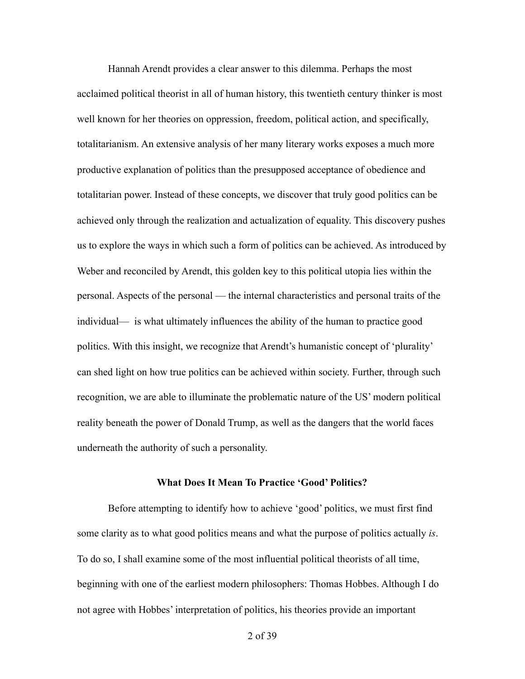Hannah Arendt provides a clear answer to this dilemma. Perhaps the most acclaimed political theorist in all of human history, this twentieth century thinker is most well known for her theories on oppression, freedom, political action, and specifically, totalitarianism. An extensive analysis of her many literary works exposes a much more productive explanation of politics than the presupposed acceptance of obedience and totalitarian power. Instead of these concepts, we discover that truly good politics can be achieved only through the realization and actualization of equality. This discovery pushes us to explore the ways in which such a form of politics can be achieved. As introduced by Weber and reconciled by Arendt, this golden key to this political utopia lies within the personal. Aspects of the personal — the internal characteristics and personal traits of the individual— is what ultimately influences the ability of the human to practice good politics. With this insight, we recognize that Arendt's humanistic concept of 'plurality' can shed light on how true politics can be achieved within society. Further, through such recognition, we are able to illuminate the problematic nature of the US' modern political reality beneath the power of Donald Trump, as well as the dangers that the world faces underneath the authority of such a personality.

#### **What Does It Mean To Practice 'Good' Politics?**

 Before attempting to identify how to achieve 'good' politics, we must first find some clarity as to what good politics means and what the purpose of politics actually *is*. To do so, I shall examine some of the most influential political theorists of all time, beginning with one of the earliest modern philosophers: Thomas Hobbes. Although I do not agree with Hobbes' interpretation of politics, his theories provide an important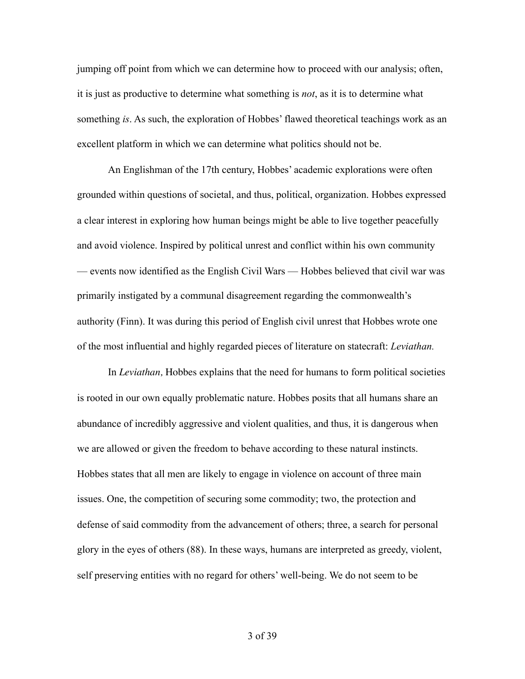jumping off point from which we can determine how to proceed with our analysis; often, it is just as productive to determine what something is *not*, as it is to determine what something *is*. As such, the exploration of Hobbes' flawed theoretical teachings work as an excellent platform in which we can determine what politics should not be.

 An Englishman of the 17th century, Hobbes' academic explorations were often grounded within questions of societal, and thus, political, organization. Hobbes expressed a clear interest in exploring how human beings might be able to live together peacefully and avoid violence. Inspired by political unrest and conflict within his own community — events now identified as the English Civil Wars — Hobbes believed that civil war was primarily instigated by a communal disagreement regarding the commonwealth's authority (Finn). It was during this period of English civil unrest that Hobbes wrote one of the most influential and highly regarded pieces of literature on statecraft: *Leviathan.*

 In *Leviathan,* Hobbes explains that the need for humans to form political societies is rooted in our own equally problematic nature. Hobbes posits that all humans share an abundance of incredibly aggressive and violent qualities, and thus, it is dangerous when we are allowed or given the freedom to behave according to these natural instincts. Hobbes states that all men are likely to engage in violence on account of three main issues. One, the competition of securing some commodity; two, the protection and defense of said commodity from the advancement of others; three, a search for personal glory in the eyes of others (88). In these ways, humans are interpreted as greedy, violent, self preserving entities with no regard for others' well-being. We do not seem to be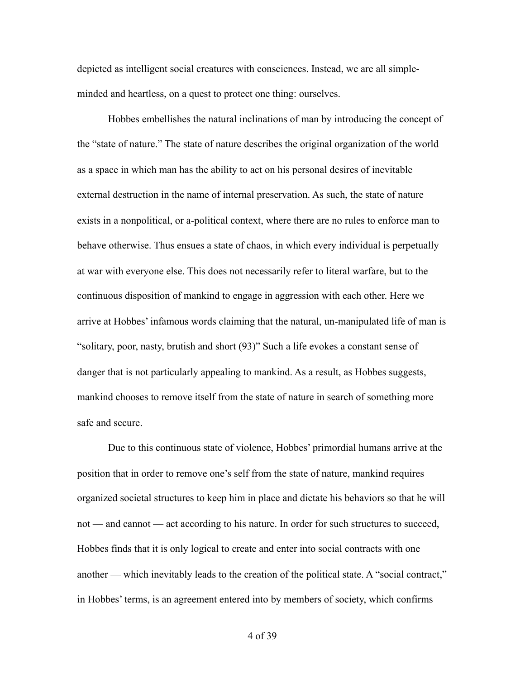depicted as intelligent social creatures with consciences. Instead, we are all simpleminded and heartless, on a quest to protect one thing: ourselves.

 Hobbes embellishes the natural inclinations of man by introducing the concept of the "state of nature." The state of nature describes the original organization of the world as a space in which man has the ability to act on his personal desires of inevitable external destruction in the name of internal preservation. As such, the state of nature exists in a nonpolitical, or a-political context, where there are no rules to enforce man to behave otherwise. Thus ensues a state of chaos, in which every individual is perpetually at war with everyone else. This does not necessarily refer to literal warfare, but to the continuous disposition of mankind to engage in aggression with each other. Here we arrive at Hobbes' infamous words claiming that the natural, un-manipulated life of man is "solitary, poor, nasty, brutish and short (93)" Such a life evokes a constant sense of danger that is not particularly appealing to mankind. As a result, as Hobbes suggests, mankind chooses to remove itself from the state of nature in search of something more safe and secure.

 Due to this continuous state of violence, Hobbes' primordial humans arrive at the position that in order to remove one's self from the state of nature, mankind requires organized societal structures to keep him in place and dictate his behaviors so that he will not — and cannot — act according to his nature. In order for such structures to succeed, Hobbes finds that it is only logical to create and enter into social contracts with one another — which inevitably leads to the creation of the political state. A "social contract," in Hobbes' terms, is an agreement entered into by members of society, which confirms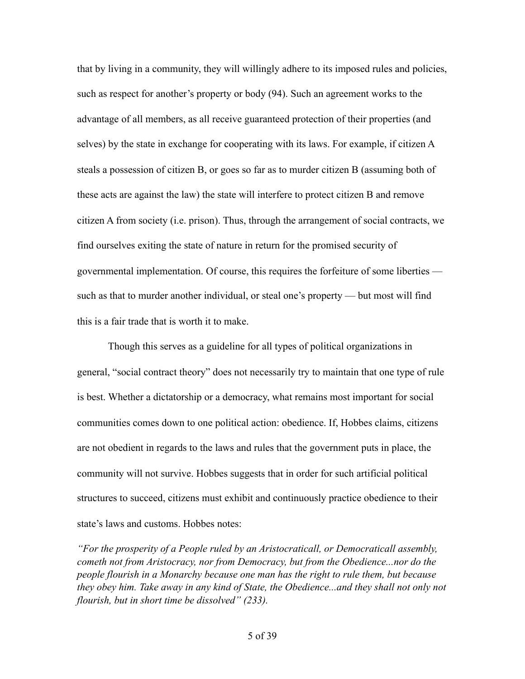that by living in a community, they will willingly adhere to its imposed rules and policies, such as respect for another's property or body (94). Such an agreement works to the advantage of all members, as all receive guaranteed protection of their properties (and selves) by the state in exchange for cooperating with its laws. For example, if citizen A steals a possession of citizen B, or goes so far as to murder citizen B (assuming both of these acts are against the law) the state will interfere to protect citizen B and remove citizen A from society (i.e. prison). Thus, through the arrangement of social contracts, we find ourselves exiting the state of nature in return for the promised security of governmental implementation. Of course, this requires the forfeiture of some liberties such as that to murder another individual, or steal one's property — but most will find this is a fair trade that is worth it to make.

 Though this serves as a guideline for all types of political organizations in general, "social contract theory" does not necessarily try to maintain that one type of rule is best. Whether a dictatorship or a democracy, what remains most important for social communities comes down to one political action: obedience. If, Hobbes claims, citizens are not obedient in regards to the laws and rules that the government puts in place, the community will not survive. Hobbes suggests that in order for such artificial political structures to succeed, citizens must exhibit and continuously practice obedience to their state's laws and customs. Hobbes notes:

*"For the prosperity of a People ruled by an Aristocraticall, or Democraticall assembly, cometh not from Aristocracy, nor from Democracy, but from the Obedience...nor do the people flourish in a Monarchy because one man has the right to rule them, but because they obey him. Take away in any kind of State, the Obedience...and they shall not only not flourish, but in short time be dissolved" (233).*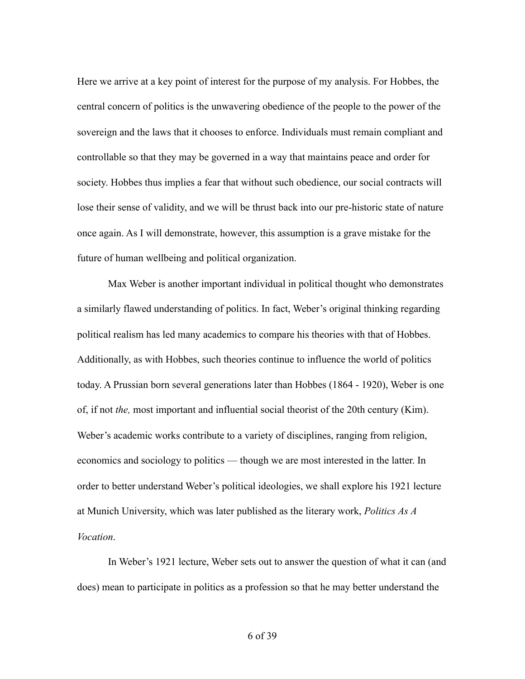Here we arrive at a key point of interest for the purpose of my analysis. For Hobbes, the central concern of politics is the unwavering obedience of the people to the power of the sovereign and the laws that it chooses to enforce. Individuals must remain compliant and controllable so that they may be governed in a way that maintains peace and order for society. Hobbes thus implies a fear that without such obedience, our social contracts will lose their sense of validity, and we will be thrust back into our pre-historic state of nature once again. As I will demonstrate, however, this assumption is a grave mistake for the future of human wellbeing and political organization.

Max Weber is another important individual in political thought who demonstrates a similarly flawed understanding of politics. In fact, Weber's original thinking regarding political realism has led many academics to compare his theories with that of Hobbes. Additionally, as with Hobbes, such theories continue to influence the world of politics today. A Prussian born several generations later than Hobbes (1864 - 1920), Weber is one of, if not *the,* most important and influential social theorist of the 20th century (Kim). Weber's academic works contribute to a variety of disciplines, ranging from religion, economics and sociology to politics — though we are most interested in the latter. In order to better understand Weber's political ideologies, we shall explore his 1921 lecture at Munich University, which was later published as the literary work, *Politics As A Vocation*.

 In Weber's 1921 lecture, Weber sets out to answer the question of what it can (and does) mean to participate in politics as a profession so that he may better understand the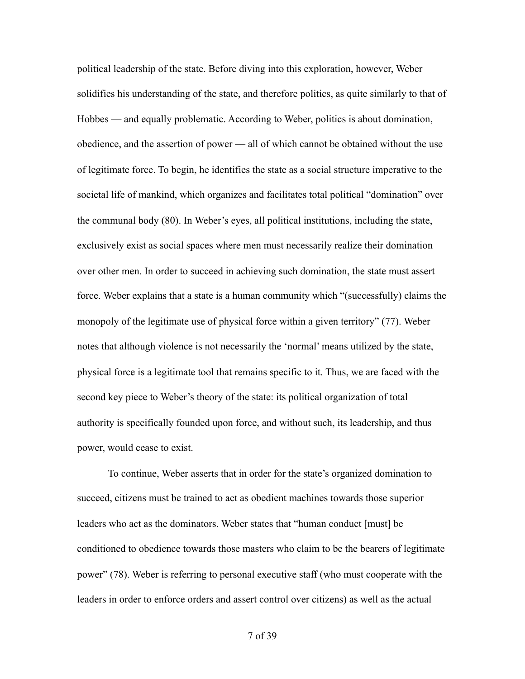political leadership of the state. Before diving into this exploration, however, Weber solidifies his understanding of the state, and therefore politics, as quite similarly to that of Hobbes — and equally problematic. According to Weber, politics is about domination, obedience, and the assertion of power — all of which cannot be obtained without the use of legitimate force. To begin, he identifies the state as a social structure imperative to the societal life of mankind, which organizes and facilitates total political "domination" over the communal body (80). In Weber's eyes, all political institutions, including the state, exclusively exist as social spaces where men must necessarily realize their domination over other men. In order to succeed in achieving such domination, the state must assert force. Weber explains that a state is a human community which "(successfully) claims the monopoly of the legitimate use of physical force within a given territory" (77). Weber notes that although violence is not necessarily the 'normal' means utilized by the state, physical force is a legitimate tool that remains specific to it. Thus, we are faced with the second key piece to Weber's theory of the state: its political organization of total authority is specifically founded upon force, and without such, its leadership, and thus power, would cease to exist.

 To continue, Weber asserts that in order for the state's organized domination to succeed, citizens must be trained to act as obedient machines towards those superior leaders who act as the dominators. Weber states that "human conduct [must] be conditioned to obedience towards those masters who claim to be the bearers of legitimate power" (78). Weber is referring to personal executive staff (who must cooperate with the leaders in order to enforce orders and assert control over citizens) as well as the actual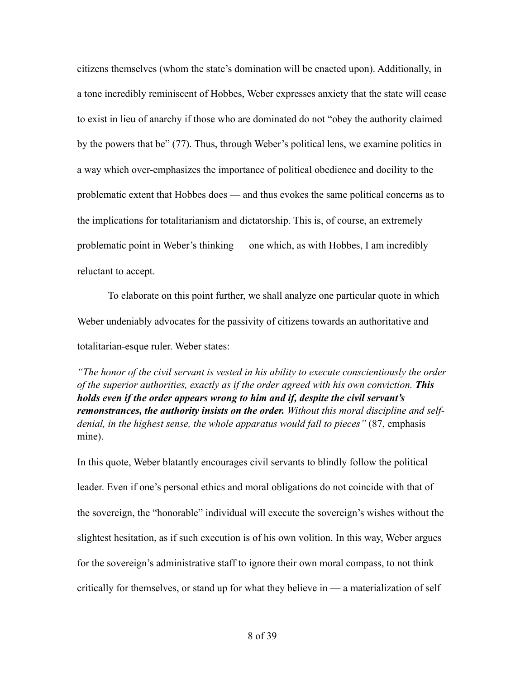citizens themselves (whom the state's domination will be enacted upon). Additionally, in a tone incredibly reminiscent of Hobbes, Weber expresses anxiety that the state will cease to exist in lieu of anarchy if those who are dominated do not "obey the authority claimed by the powers that be" (77). Thus, through Weber's political lens, we examine politics in a way which over-emphasizes the importance of political obedience and docility to the problematic extent that Hobbes does — and thus evokes the same political concerns as to the implications for totalitarianism and dictatorship. This is, of course, an extremely problematic point in Weber's thinking — one which, as with Hobbes, I am incredibly reluctant to accept.

 To elaborate on this point further, we shall analyze one particular quote in which Weber undeniably advocates for the passivity of citizens towards an authoritative and totalitarian-esque ruler. Weber states:

*"The honor of the civil servant is vested in his ability to execute conscientiously the order of the superior authorities, exactly as if the order agreed with his own conviction. This holds even if the order appears wrong to him and if, despite the civil servant's remonstrances, the authority insists on the order. Without this moral discipline and selfdenial, in the highest sense, the whole apparatus would fall to pieces"* (87, emphasis mine).

In this quote, Weber blatantly encourages civil servants to blindly follow the political leader. Even if one's personal ethics and moral obligations do not coincide with that of the sovereign, the "honorable" individual will execute the sovereign's wishes without the slightest hesitation, as if such execution is of his own volition. In this way, Weber argues for the sovereign's administrative staff to ignore their own moral compass, to not think critically for themselves, or stand up for what they believe in — a materialization of self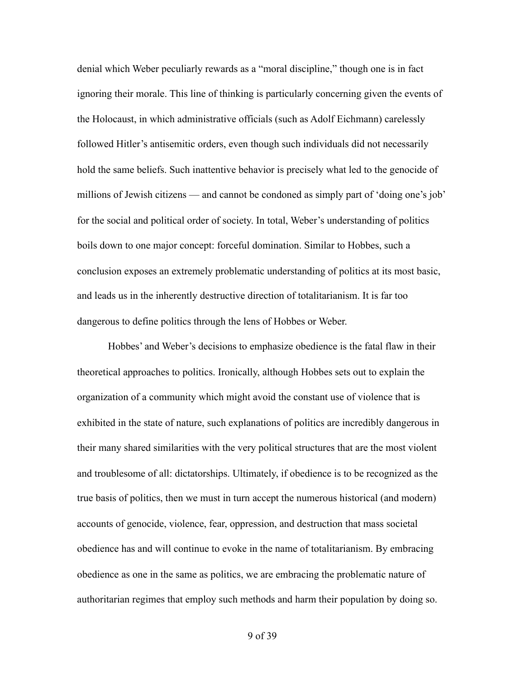denial which Weber peculiarly rewards as a "moral discipline," though one is in fact ignoring their morale. This line of thinking is particularly concerning given the events of the Holocaust, in which administrative officials (such as Adolf Eichmann) carelessly followed Hitler's antisemitic orders, even though such individuals did not necessarily hold the same beliefs. Such inattentive behavior is precisely what led to the genocide of millions of Jewish citizens — and cannot be condoned as simply part of 'doing one's job' for the social and political order of society. In total, Weber's understanding of politics boils down to one major concept: forceful domination. Similar to Hobbes, such a conclusion exposes an extremely problematic understanding of politics at its most basic, and leads us in the inherently destructive direction of totalitarianism. It is far too dangerous to define politics through the lens of Hobbes or Weber.

 Hobbes' and Weber's decisions to emphasize obedience is the fatal flaw in their theoretical approaches to politics. Ironically, although Hobbes sets out to explain the organization of a community which might avoid the constant use of violence that is exhibited in the state of nature, such explanations of politics are incredibly dangerous in their many shared similarities with the very political structures that are the most violent and troublesome of all: dictatorships. Ultimately, if obedience is to be recognized as the true basis of politics, then we must in turn accept the numerous historical (and modern) accounts of genocide, violence, fear, oppression, and destruction that mass societal obedience has and will continue to evoke in the name of totalitarianism. By embracing obedience as one in the same as politics, we are embracing the problematic nature of authoritarian regimes that employ such methods and harm their population by doing so.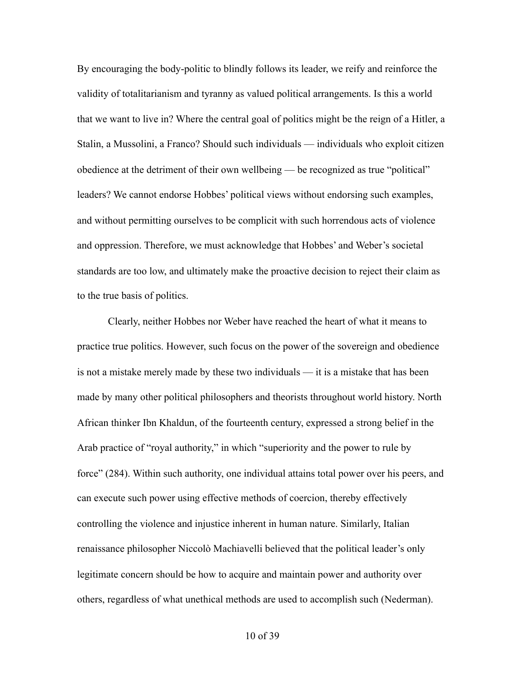By encouraging the body-politic to blindly follows its leader, we reify and reinforce the validity of totalitarianism and tyranny as valued political arrangements. Is this a world that we want to live in? Where the central goal of politics might be the reign of a Hitler, a Stalin, a Mussolini, a Franco? Should such individuals — individuals who exploit citizen obedience at the detriment of their own wellbeing — be recognized as true "political" leaders? We cannot endorse Hobbes' political views without endorsing such examples, and without permitting ourselves to be complicit with such horrendous acts of violence and oppression. Therefore, we must acknowledge that Hobbes' and Weber's societal standards are too low, and ultimately make the proactive decision to reject their claim as to the true basis of politics.

 Clearly, neither Hobbes nor Weber have reached the heart of what it means to practice true politics. However, such focus on the power of the sovereign and obedience is not a mistake merely made by these two individuals — it is a mistake that has been made by many other political philosophers and theorists throughout world history. North African thinker Ibn Khaldun, of the fourteenth century, expressed a strong belief in the Arab practice of "royal authority," in which "superiority and the power to rule by force" (284). Within such authority, one individual attains total power over his peers, and can execute such power using effective methods of coercion, thereby effectively controlling the violence and injustice inherent in human nature. Similarly, Italian renaissance philosopher Niccolò Machiavelli believed that the political leader's only legitimate concern should be how to acquire and maintain power and authority over others, regardless of what unethical methods are used to accomplish such (Nederman).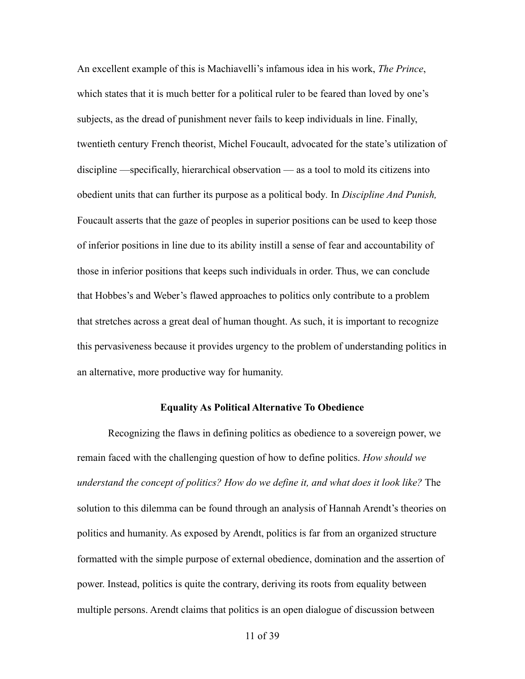An excellent example of this is Machiavelli's infamous idea in his work, *The Prince*, which states that it is much better for a political ruler to be feared than loved by one's subjects, as the dread of punishment never fails to keep individuals in line. Finally, twentieth century French theorist, Michel Foucault, advocated for the state's utilization of discipline —specifically, hierarchical observation — as a tool to mold its citizens into obedient units that can further its purpose as a political body*.* In *Discipline And Punish,*  Foucault asserts that the gaze of peoples in superior positions can be used to keep those of inferior positions in line due to its ability instill a sense of fear and accountability of those in inferior positions that keeps such individuals in order. Thus, we can conclude that Hobbes's and Weber's flawed approaches to politics only contribute to a problem that stretches across a great deal of human thought. As such, it is important to recognize this pervasiveness because it provides urgency to the problem of understanding politics in an alternative, more productive way for humanity.

#### **Equality As Political Alternative To Obedience**

 Recognizing the flaws in defining politics as obedience to a sovereign power, we remain faced with the challenging question of how to define politics. *How should we understand the concept of politics? How do we define it, and what does it look like?* The solution to this dilemma can be found through an analysis of Hannah Arendt's theories on politics and humanity. As exposed by Arendt, politics is far from an organized structure formatted with the simple purpose of external obedience, domination and the assertion of power. Instead, politics is quite the contrary, deriving its roots from equality between multiple persons. Arendt claims that politics is an open dialogue of discussion between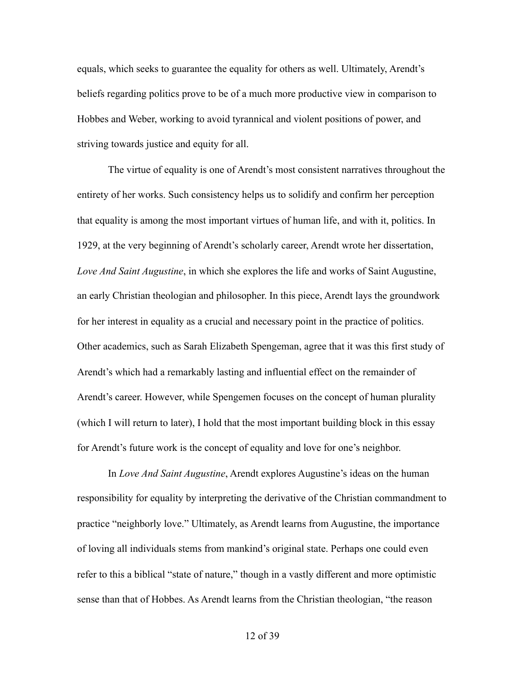equals, which seeks to guarantee the equality for others as well. Ultimately, Arendt's beliefs regarding politics prove to be of a much more productive view in comparison to Hobbes and Weber, working to avoid tyrannical and violent positions of power, and striving towards justice and equity for all.

 The virtue of equality is one of Arendt's most consistent narratives throughout the entirety of her works. Such consistency helps us to solidify and confirm her perception that equality is among the most important virtues of human life, and with it, politics. In 1929, at the very beginning of Arendt's scholarly career, Arendt wrote her dissertation, *Love And Saint Augustine*, in which she explores the life and works of Saint Augustine, an early Christian theologian and philosopher. In this piece, Arendt lays the groundwork for her interest in equality as a crucial and necessary point in the practice of politics. Other academics, such as Sarah Elizabeth Spengeman, agree that it was this first study of Arendt's which had a remarkably lasting and influential effect on the remainder of Arendt's career. However, while Spengemen focuses on the concept of human plurality (which I will return to later), I hold that the most important building block in this essay for Arendt's future work is the concept of equality and love for one's neighbor.

 In *Love And Saint Augustine*, Arendt explores Augustine's ideas on the human responsibility for equality by interpreting the derivative of the Christian commandment to practice "neighborly love." Ultimately, as Arendt learns from Augustine, the importance of loving all individuals stems from mankind's original state. Perhaps one could even refer to this a biblical "state of nature," though in a vastly different and more optimistic sense than that of Hobbes. As Arendt learns from the Christian theologian, "the reason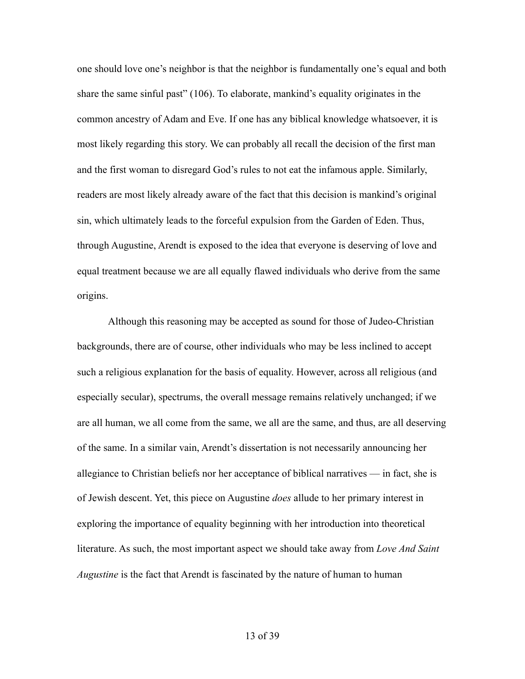one should love one's neighbor is that the neighbor is fundamentally one's equal and both share the same sinful past" (106). To elaborate, mankind's equality originates in the common ancestry of Adam and Eve. If one has any biblical knowledge whatsoever, it is most likely regarding this story. We can probably all recall the decision of the first man and the first woman to disregard God's rules to not eat the infamous apple. Similarly, readers are most likely already aware of the fact that this decision is mankind's original sin, which ultimately leads to the forceful expulsion from the Garden of Eden. Thus, through Augustine, Arendt is exposed to the idea that everyone is deserving of love and equal treatment because we are all equally flawed individuals who derive from the same origins.

 Although this reasoning may be accepted as sound for those of Judeo-Christian backgrounds, there are of course, other individuals who may be less inclined to accept such a religious explanation for the basis of equality. However, across all religious (and especially secular), spectrums, the overall message remains relatively unchanged; if we are all human, we all come from the same, we all are the same, and thus, are all deserving of the same. In a similar vain, Arendt's dissertation is not necessarily announcing her allegiance to Christian beliefs nor her acceptance of biblical narratives — in fact, she is of Jewish descent. Yet, this piece on Augustine *does* allude to her primary interest in exploring the importance of equality beginning with her introduction into theoretical literature. As such, the most important aspect we should take away from *Love And Saint Augustine* is the fact that Arendt is fascinated by the nature of human to human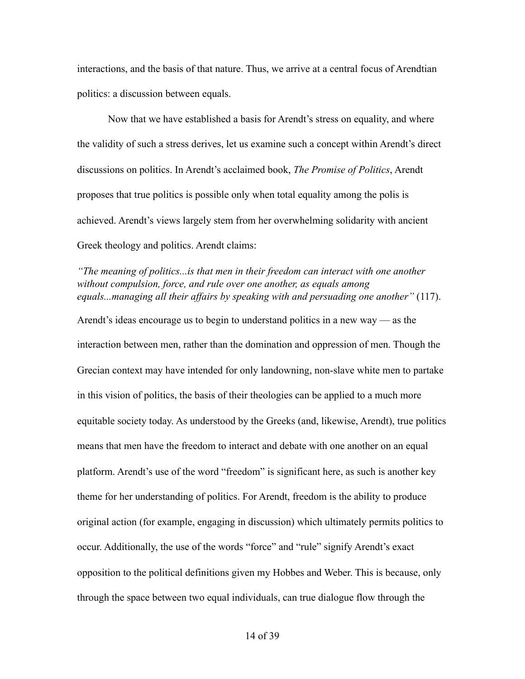interactions, and the basis of that nature. Thus, we arrive at a central focus of Arendtian politics: a discussion between equals.

Now that we have established a basis for Arendt's stress on equality, and where the validity of such a stress derives, let us examine such a concept within Arendt's direct discussions on politics. In Arendt's acclaimed book, *The Promise of Politics*, Arendt proposes that true politics is possible only when total equality among the polis is achieved. Arendt's views largely stem from her overwhelming solidarity with ancient Greek theology and politics. Arendt claims:

*"The meaning of politics...is that men in their freedom can interact with one another without compulsion, force, and rule over one another, as equals among equals...managing all their affairs by speaking with and persuading one another"* (117).

Arendt's ideas encourage us to begin to understand politics in a new way — as the interaction between men, rather than the domination and oppression of men. Though the Grecian context may have intended for only landowning, non-slave white men to partake in this vision of politics, the basis of their theologies can be applied to a much more equitable society today. As understood by the Greeks (and, likewise, Arendt), true politics means that men have the freedom to interact and debate with one another on an equal platform. Arendt's use of the word "freedom" is significant here, as such is another key theme for her understanding of politics. For Arendt, freedom is the ability to produce original action (for example, engaging in discussion) which ultimately permits politics to occur. Additionally, the use of the words "force" and "rule" signify Arendt's exact opposition to the political definitions given my Hobbes and Weber. This is because, only through the space between two equal individuals, can true dialogue flow through the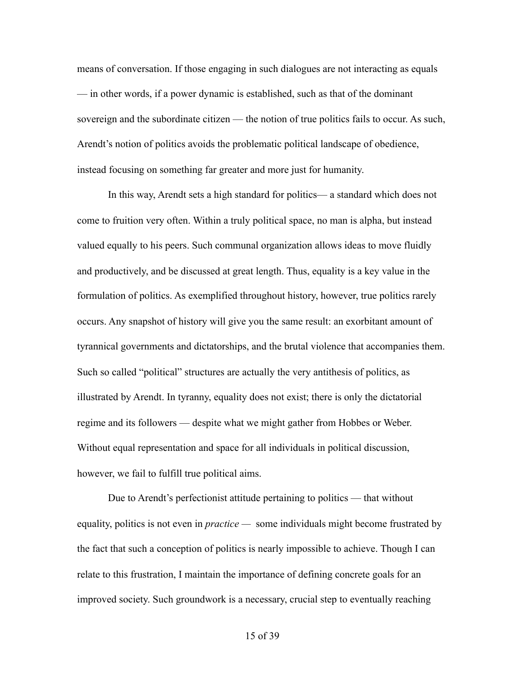means of conversation. If those engaging in such dialogues are not interacting as equals — in other words, if a power dynamic is established, such as that of the dominant sovereign and the subordinate citizen — the notion of true politics fails to occur. As such, Arendt's notion of politics avoids the problematic political landscape of obedience, instead focusing on something far greater and more just for humanity.

 In this way, Arendt sets a high standard for politics— a standard which does not come to fruition very often. Within a truly political space, no man is alpha, but instead valued equally to his peers. Such communal organization allows ideas to move fluidly and productively, and be discussed at great length. Thus, equality is a key value in the formulation of politics. As exemplified throughout history, however, true politics rarely occurs. Any snapshot of history will give you the same result: an exorbitant amount of tyrannical governments and dictatorships, and the brutal violence that accompanies them. Such so called "political" structures are actually the very antithesis of politics, as illustrated by Arendt. In tyranny, equality does not exist; there is only the dictatorial regime and its followers — despite what we might gather from Hobbes or Weber. Without equal representation and space for all individuals in political discussion, however, we fail to fulfill true political aims.

 Due to Arendt's perfectionist attitude pertaining to politics — that without equality, politics is not even in *practice —* some individuals might become frustrated by the fact that such a conception of politics is nearly impossible to achieve. Though I can relate to this frustration, I maintain the importance of defining concrete goals for an improved society. Such groundwork is a necessary, crucial step to eventually reaching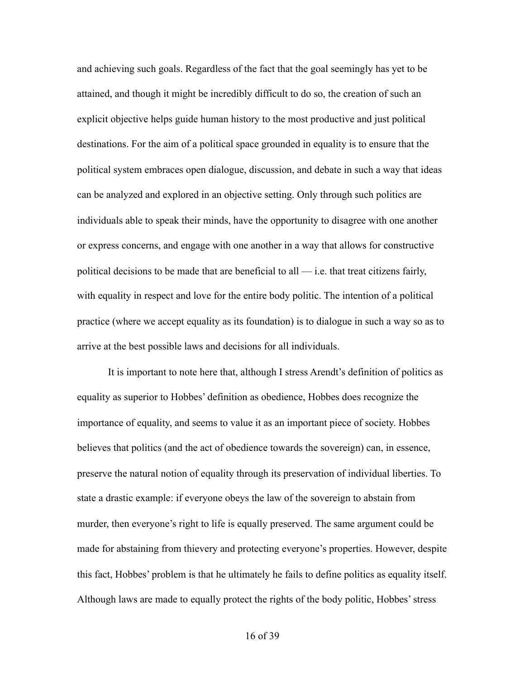and achieving such goals. Regardless of the fact that the goal seemingly has yet to be attained, and though it might be incredibly difficult to do so, the creation of such an explicit objective helps guide human history to the most productive and just political destinations. For the aim of a political space grounded in equality is to ensure that the political system embraces open dialogue, discussion, and debate in such a way that ideas can be analyzed and explored in an objective setting. Only through such politics are individuals able to speak their minds, have the opportunity to disagree with one another or express concerns, and engage with one another in a way that allows for constructive political decisions to be made that are beneficial to all — i.e. that treat citizens fairly, with equality in respect and love for the entire body politic. The intention of a political practice (where we accept equality as its foundation) is to dialogue in such a way so as to arrive at the best possible laws and decisions for all individuals.

 It is important to note here that, although I stress Arendt's definition of politics as equality as superior to Hobbes' definition as obedience, Hobbes does recognize the importance of equality, and seems to value it as an important piece of society. Hobbes believes that politics (and the act of obedience towards the sovereign) can, in essence, preserve the natural notion of equality through its preservation of individual liberties. To state a drastic example: if everyone obeys the law of the sovereign to abstain from murder, then everyone's right to life is equally preserved. The same argument could be made for abstaining from thievery and protecting everyone's properties. However, despite this fact, Hobbes' problem is that he ultimately he fails to define politics as equality itself. Although laws are made to equally protect the rights of the body politic, Hobbes' stress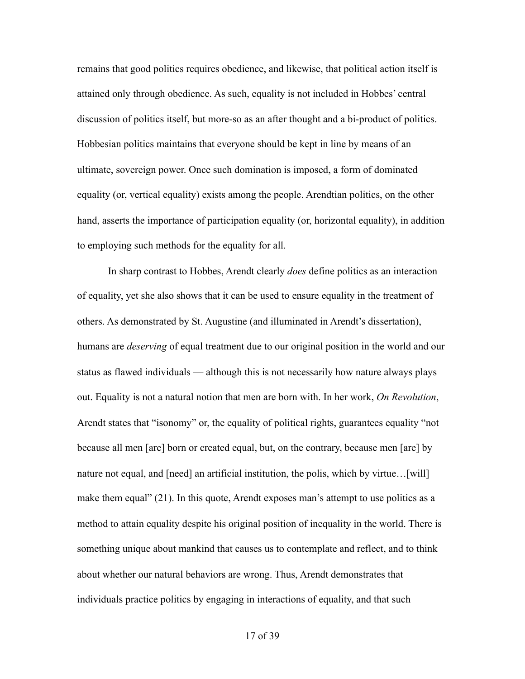remains that good politics requires obedience, and likewise, that political action itself is attained only through obedience. As such, equality is not included in Hobbes' central discussion of politics itself, but more-so as an after thought and a bi-product of politics. Hobbesian politics maintains that everyone should be kept in line by means of an ultimate, sovereign power. Once such domination is imposed, a form of dominated equality (or, vertical equality) exists among the people. Arendtian politics, on the other hand, asserts the importance of participation equality (or, horizontal equality), in addition to employing such methods for the equality for all.

 In sharp contrast to Hobbes, Arendt clearly *does* define politics as an interaction of equality, yet she also shows that it can be used to ensure equality in the treatment of others. As demonstrated by St. Augustine (and illuminated in Arendt's dissertation), humans are *deserving* of equal treatment due to our original position in the world and our status as flawed individuals — although this is not necessarily how nature always plays out. Equality is not a natural notion that men are born with. In her work, *On Revolution*, Arendt states that "isonomy" or, the equality of political rights, guarantees equality "not because all men [are] born or created equal, but, on the contrary, because men [are] by nature not equal, and [need] an artificial institution, the polis, which by virtue…[will] make them equal" (21). In this quote, Arendt exposes man's attempt to use politics as a method to attain equality despite his original position of inequality in the world. There is something unique about mankind that causes us to contemplate and reflect, and to think about whether our natural behaviors are wrong. Thus, Arendt demonstrates that individuals practice politics by engaging in interactions of equality, and that such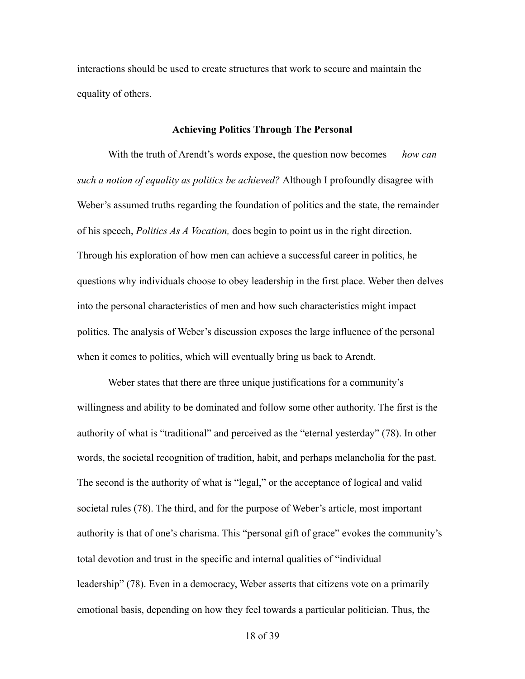interactions should be used to create structures that work to secure and maintain the equality of others.

#### **Achieving Politics Through The Personal**

 With the truth of Arendt's words expose, the question now becomes — *how can such a notion of equality as politics be achieved?* Although I profoundly disagree with Weber's assumed truths regarding the foundation of politics and the state, the remainder of his speech, *Politics As A Vocation,* does begin to point us in the right direction. Through his exploration of how men can achieve a successful career in politics, he questions why individuals choose to obey leadership in the first place. Weber then delves into the personal characteristics of men and how such characteristics might impact politics. The analysis of Weber's discussion exposes the large influence of the personal when it comes to politics, which will eventually bring us back to Arendt.

Weber states that there are three unique justifications for a community's willingness and ability to be dominated and follow some other authority. The first is the authority of what is "traditional" and perceived as the "eternal yesterday" (78). In other words, the societal recognition of tradition, habit, and perhaps melancholia for the past. The second is the authority of what is "legal," or the acceptance of logical and valid societal rules (78). The third, and for the purpose of Weber's article, most important authority is that of one's charisma. This "personal gift of grace" evokes the community's total devotion and trust in the specific and internal qualities of "individual leadership" (78). Even in a democracy, Weber asserts that citizens vote on a primarily emotional basis, depending on how they feel towards a particular politician. Thus, the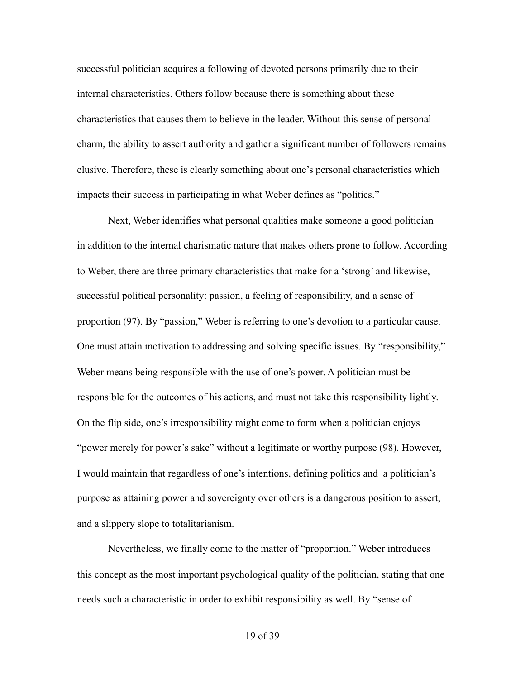successful politician acquires a following of devoted persons primarily due to their internal characteristics. Others follow because there is something about these characteristics that causes them to believe in the leader. Without this sense of personal charm, the ability to assert authority and gather a significant number of followers remains elusive. Therefore, these is clearly something about one's personal characteristics which impacts their success in participating in what Weber defines as "politics."

 Next, Weber identifies what personal qualities make someone a good politician in addition to the internal charismatic nature that makes others prone to follow. According to Weber, there are three primary characteristics that make for a 'strong' and likewise, successful political personality: passion, a feeling of responsibility, and a sense of proportion (97). By "passion," Weber is referring to one's devotion to a particular cause. One must attain motivation to addressing and solving specific issues. By "responsibility," Weber means being responsible with the use of one's power. A politician must be responsible for the outcomes of his actions, and must not take this responsibility lightly. On the flip side, one's irresponsibility might come to form when a politician enjoys "power merely for power's sake" without a legitimate or worthy purpose (98). However, I would maintain that regardless of one's intentions, defining politics and a politician's purpose as attaining power and sovereignty over others is a dangerous position to assert, and a slippery slope to totalitarianism.

 Nevertheless, we finally come to the matter of "proportion." Weber introduces this concept as the most important psychological quality of the politician, stating that one needs such a characteristic in order to exhibit responsibility as well. By "sense of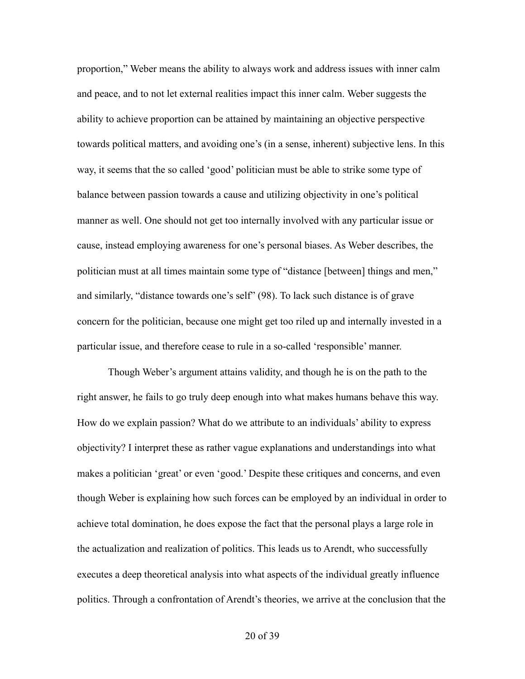proportion," Weber means the ability to always work and address issues with inner calm and peace, and to not let external realities impact this inner calm. Weber suggests the ability to achieve proportion can be attained by maintaining an objective perspective towards political matters, and avoiding one's (in a sense, inherent) subjective lens. In this way, it seems that the so called 'good' politician must be able to strike some type of balance between passion towards a cause and utilizing objectivity in one's political manner as well. One should not get too internally involved with any particular issue or cause, instead employing awareness for one's personal biases. As Weber describes, the politician must at all times maintain some type of "distance [between] things and men," and similarly, "distance towards one's self" (98). To lack such distance is of grave concern for the politician, because one might get too riled up and internally invested in a particular issue, and therefore cease to rule in a so-called 'responsible' manner.

 Though Weber's argument attains validity, and though he is on the path to the right answer, he fails to go truly deep enough into what makes humans behave this way. How do we explain passion? What do we attribute to an individuals' ability to express objectivity? I interpret these as rather vague explanations and understandings into what makes a politician 'great' or even 'good.' Despite these critiques and concerns, and even though Weber is explaining how such forces can be employed by an individual in order to achieve total domination, he does expose the fact that the personal plays a large role in the actualization and realization of politics. This leads us to Arendt, who successfully executes a deep theoretical analysis into what aspects of the individual greatly influence politics. Through a confrontation of Arendt's theories, we arrive at the conclusion that the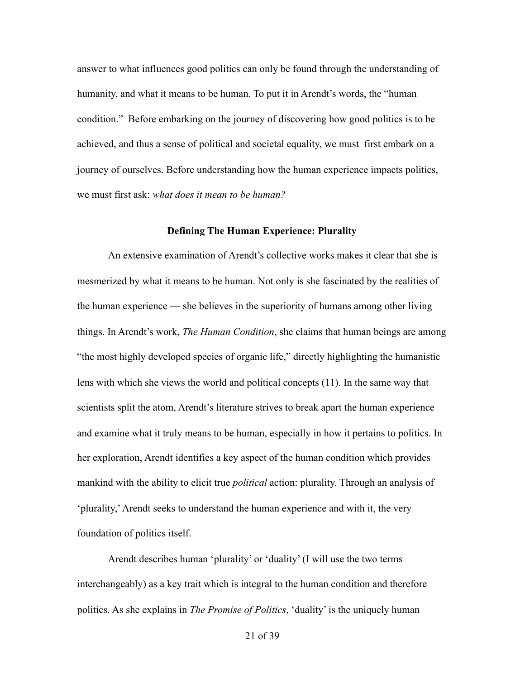answer to what influences good politics can only be found through the understanding of humanity, and what it means to be human. To put it in Arendt's words, the "human condition." Before embarking on the journey of discovering how good politics is to be achieved, and thus a sense of political and societal equality, we must first embark on a journey of ourselves. Before understanding how the human experience impacts politics, we must first ask: *what does it mean to be human?* 

#### **Defining The Human Experience: Plurality**

An extensive examination of Arendt's collective works makes it clear that she is mesmerized by what it means to be human. Not only is she fascinated by the realities of the human experience — she believes in the superiority of humans among other living things. In Arendt's work, *The Human Condition*, she claims that human beings are among "the most highly developed species of organic life," directly highlighting the humanistic lens with which she views the world and political concepts (11). In the same way that scientists split the atom, Arendt's literature strives to break apart the human experience and examine what it truly means to be human, especially in how it pertains to politics. In her exploration, Arendt identifies a key aspect of the human condition which provides mankind with the ability to elicit true *political* action: plurality. Through an analysis of 'plurality,' Arendt seeks to understand the human experience and with it, the very foundation of politics itself.

 Arendt describes human 'plurality' or 'duality' (I will use the two terms interchangeably) as a key trait which is integral to the human condition and therefore politics. As she explains in *The Promise of Politics*, 'duality' is the uniquely human

21 of 39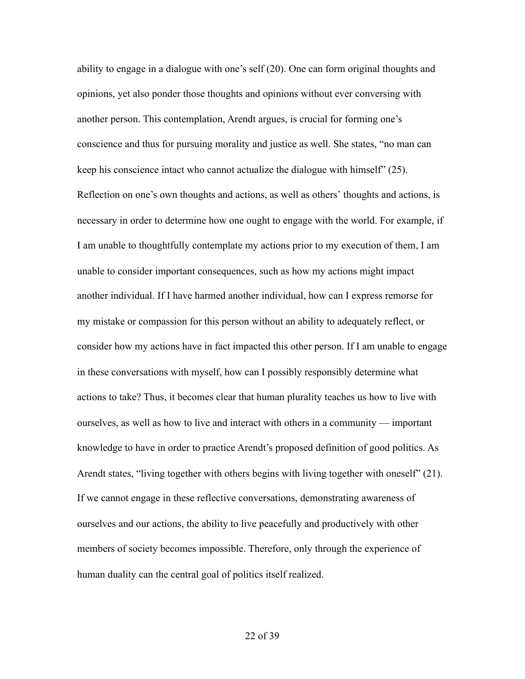ability to engage in a dialogue with one's self (20). One can form original thoughts and opinions, yet also ponder those thoughts and opinions without ever conversing with another person. This contemplation, Arendt argues, is crucial for forming one's conscience and thus for pursuing morality and justice as well. She states, "no man can keep his conscience intact who cannot actualize the dialogue with himself" (25). Reflection on one's own thoughts and actions, as well as others' thoughts and actions, is necessary in order to determine how one ought to engage with the world. For example, if I am unable to thoughtfully contemplate my actions prior to my execution of them, I am unable to consider important consequences, such as how my actions might impact another individual. If I have harmed another individual, how can I express remorse for my mistake or compassion for this person without an ability to adequately reflect, or consider how my actions have in fact impacted this other person. If I am unable to engage in these conversations with myself, how can I possibly responsibly determine what actions to take? Thus, it becomes clear that human plurality teaches us how to live with ourselves, as well as how to live and interact with others in a community — important knowledge to have in order to practice Arendt's proposed definition of good politics. As Arendt states, "living together with others begins with living together with oneself" (21). If we cannot engage in these reflective conversations, demonstrating awareness of ourselves and our actions, the ability to live peacefully and productively with other members of society becomes impossible. Therefore, only through the experience of human duality can the central goal of politics itself realized.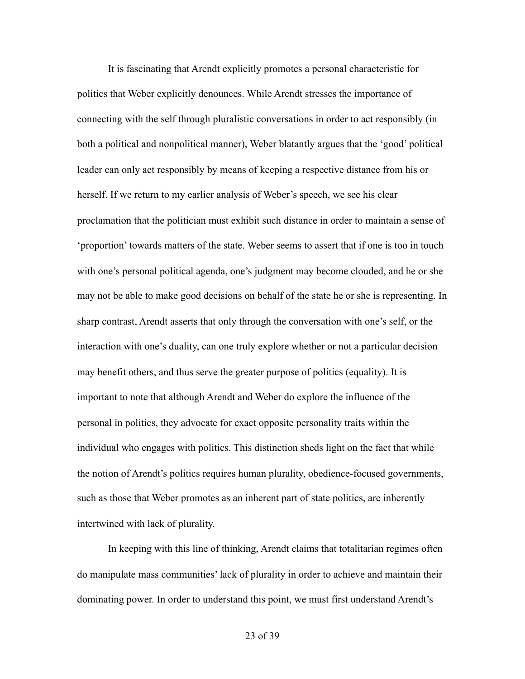It is fascinating that Arendt explicitly promotes a personal characteristic for politics that Weber explicitly denounces. While Arendt stresses the importance of connecting with the self through pluralistic conversations in order to act responsibly (in both a political and nonpolitical manner), Weber blatantly argues that the 'good' political leader can only act responsibly by means of keeping a respective distance from his or herself. If we return to my earlier analysis of Weber's speech, we see his clear proclamation that the politician must exhibit such distance in order to maintain a sense of 'proportion' towards matters of the state. Weber seems to assert that if one is too in touch with one's personal political agenda, one's judgment may become clouded, and he or she may not be able to make good decisions on behalf of the state he or she is representing. In sharp contrast, Arendt asserts that only through the conversation with one's self, or the interaction with one's duality, can one truly explore whether or not a particular decision may benefit others, and thus serve the greater purpose of politics (equality). It is important to note that although Arendt and Weber do explore the influence of the personal in politics, they advocate for exact opposite personality traits within the individual who engages with politics. This distinction sheds light on the fact that while the notion of Arendt's politics requires human plurality, obedience-focused governments, such as those that Weber promotes as an inherent part of state politics, are inherently intertwined with lack of plurality.

 In keeping with this line of thinking, Arendt claims that totalitarian regimes often do manipulate mass communities' lack of plurality in order to achieve and maintain their dominating power. In order to understand this point, we must first understand Arendt's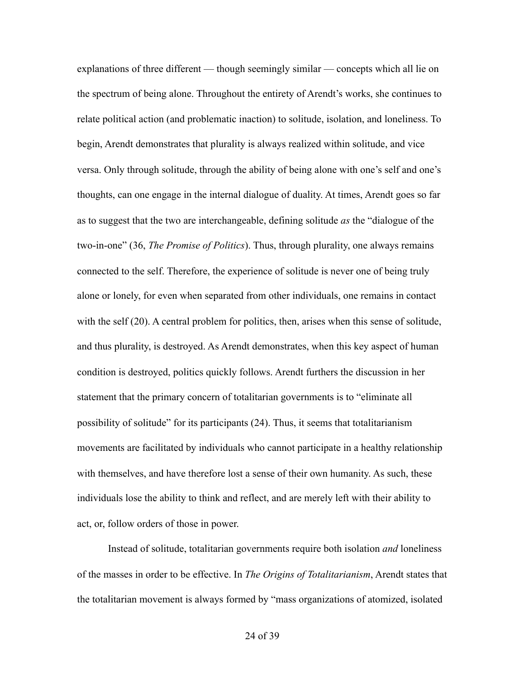explanations of three different — though seemingly similar — concepts which all lie on the spectrum of being alone. Throughout the entirety of Arendt's works, she continues to relate political action (and problematic inaction) to solitude, isolation, and loneliness. To begin, Arendt demonstrates that plurality is always realized within solitude, and vice versa. Only through solitude, through the ability of being alone with one's self and one's thoughts, can one engage in the internal dialogue of duality. At times, Arendt goes so far as to suggest that the two are interchangeable, defining solitude *as* the "dialogue of the two-in-one" (36, *The Promise of Politics*). Thus, through plurality, one always remains connected to the self. Therefore, the experience of solitude is never one of being truly alone or lonely, for even when separated from other individuals, one remains in contact with the self (20). A central problem for politics, then, arises when this sense of solitude, and thus plurality, is destroyed. As Arendt demonstrates, when this key aspect of human condition is destroyed, politics quickly follows. Arendt furthers the discussion in her statement that the primary concern of totalitarian governments is to "eliminate all possibility of solitude" for its participants (24). Thus, it seems that totalitarianism movements are facilitated by individuals who cannot participate in a healthy relationship with themselves, and have therefore lost a sense of their own humanity. As such, these individuals lose the ability to think and reflect, and are merely left with their ability to act, or, follow orders of those in power.

 Instead of solitude, totalitarian governments require both isolation *and* loneliness of the masses in order to be effective. In *The Origins of Totalitarianism*, Arendt states that the totalitarian movement is always formed by "mass organizations of atomized, isolated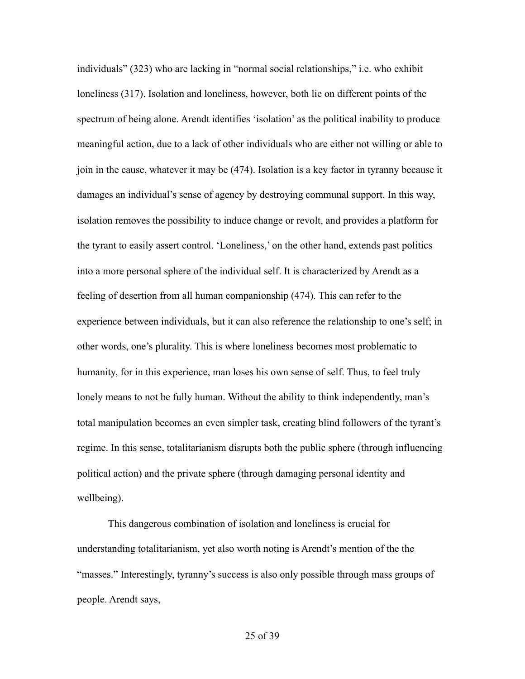individuals" (323) who are lacking in "normal social relationships," i.e. who exhibit loneliness (317). Isolation and loneliness, however, both lie on different points of the spectrum of being alone. Arendt identifies 'isolation' as the political inability to produce meaningful action, due to a lack of other individuals who are either not willing or able to join in the cause, whatever it may be (474). Isolation is a key factor in tyranny because it damages an individual's sense of agency by destroying communal support. In this way, isolation removes the possibility to induce change or revolt, and provides a platform for the tyrant to easily assert control. 'Loneliness,' on the other hand, extends past politics into a more personal sphere of the individual self. It is characterized by Arendt as a feeling of desertion from all human companionship (474). This can refer to the experience between individuals, but it can also reference the relationship to one's self; in other words, one's plurality. This is where loneliness becomes most problematic to humanity, for in this experience, man loses his own sense of self. Thus, to feel truly lonely means to not be fully human. Without the ability to think independently, man's total manipulation becomes an even simpler task, creating blind followers of the tyrant's regime. In this sense, totalitarianism disrupts both the public sphere (through influencing political action) and the private sphere (through damaging personal identity and wellbeing).

 This dangerous combination of isolation and loneliness is crucial for understanding totalitarianism, yet also worth noting is Arendt's mention of the the "masses." Interestingly, tyranny's success is also only possible through mass groups of people. Arendt says,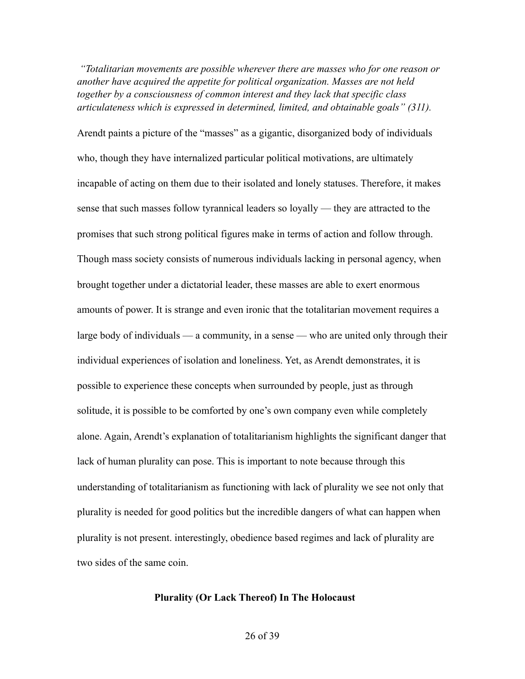*"Totalitarian movements are possible wherever there are masses who for one reason or another have acquired the appetite for political organization. Masses are not held together by a consciousness of common interest and they lack that specific class articulateness which is expressed in determined, limited, and obtainable goals" (311).* 

Arendt paints a picture of the "masses" as a gigantic, disorganized body of individuals who, though they have internalized particular political motivations, are ultimately incapable of acting on them due to their isolated and lonely statuses. Therefore, it makes sense that such masses follow tyrannical leaders so loyally — they are attracted to the promises that such strong political figures make in terms of action and follow through. Though mass society consists of numerous individuals lacking in personal agency, when brought together under a dictatorial leader, these masses are able to exert enormous amounts of power. It is strange and even ironic that the totalitarian movement requires a large body of individuals — a community, in a sense — who are united only through their individual experiences of isolation and loneliness. Yet, as Arendt demonstrates, it is possible to experience these concepts when surrounded by people, just as through solitude, it is possible to be comforted by one's own company even while completely alone. Again, Arendt's explanation of totalitarianism highlights the significant danger that lack of human plurality can pose. This is important to note because through this understanding of totalitarianism as functioning with lack of plurality we see not only that plurality is needed for good politics but the incredible dangers of what can happen when plurality is not present. interestingly, obedience based regimes and lack of plurality are two sides of the same coin.

#### **Plurality (Or Lack Thereof) In The Holocaust**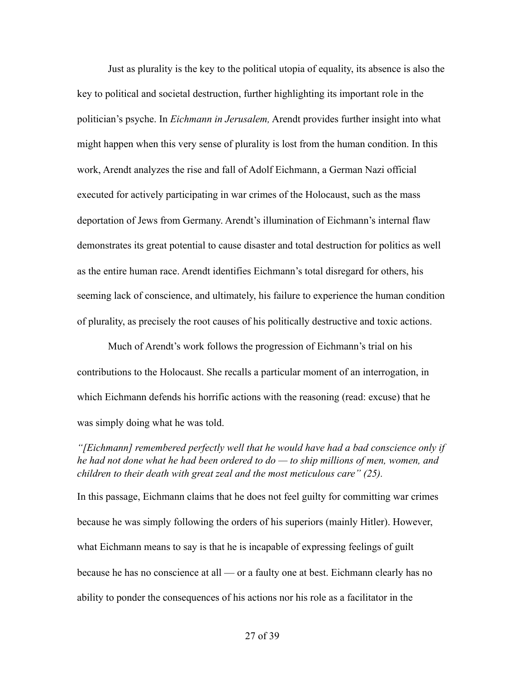Just as plurality is the key to the political utopia of equality, its absence is also the key to political and societal destruction, further highlighting its important role in the politician's psyche. In *Eichmann in Jerusalem,* Arendt provides further insight into what might happen when this very sense of plurality is lost from the human condition. In this work, Arendt analyzes the rise and fall of Adolf Eichmann, a German Nazi official executed for actively participating in war crimes of the Holocaust, such as the mass deportation of Jews from Germany. Arendt's illumination of Eichmann's internal flaw demonstrates its great potential to cause disaster and total destruction for politics as well as the entire human race. Arendt identifies Eichmann's total disregard for others, his seeming lack of conscience, and ultimately, his failure to experience the human condition of plurality, as precisely the root causes of his politically destructive and toxic actions.

 Much of Arendt's work follows the progression of Eichmann's trial on his contributions to the Holocaust. She recalls a particular moment of an interrogation, in which Eichmann defends his horrific actions with the reasoning (read: excuse) that he was simply doing what he was told.

*"[Eichmann] remembered perfectly well that he would have had a bad conscience only if he had not done what he had been ordered to do — to ship millions of men, women, and children to their death with great zeal and the most meticulous care" (25).* 

In this passage, Eichmann claims that he does not feel guilty for committing war crimes because he was simply following the orders of his superiors (mainly Hitler). However, what Eichmann means to say is that he is incapable of expressing feelings of guilt because he has no conscience at all — or a faulty one at best. Eichmann clearly has no ability to ponder the consequences of his actions nor his role as a facilitator in the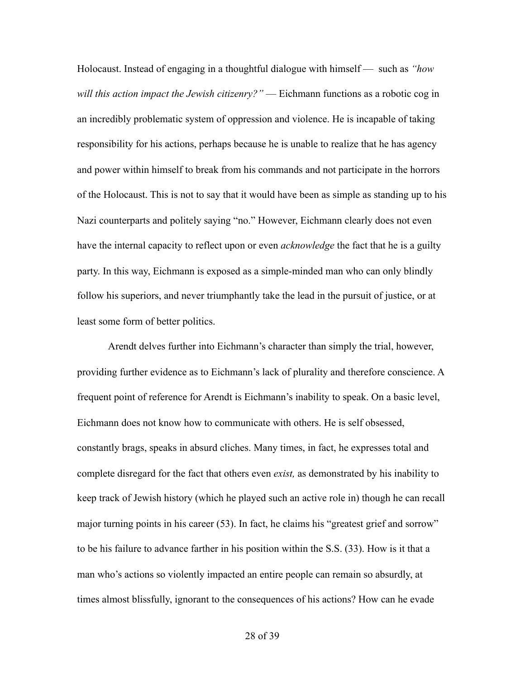Holocaust. Instead of engaging in a thoughtful dialogue with himself — such as *"how will this action impact the Jewish citizenry?"* — Eichmann functions as a robotic cog in an incredibly problematic system of oppression and violence. He is incapable of taking responsibility for his actions, perhaps because he is unable to realize that he has agency and power within himself to break from his commands and not participate in the horrors of the Holocaust. This is not to say that it would have been as simple as standing up to his Nazi counterparts and politely saying "no." However, Eichmann clearly does not even have the internal capacity to reflect upon or even *acknowledge* the fact that he is a guilty party. In this way, Eichmann is exposed as a simple-minded man who can only blindly follow his superiors, and never triumphantly take the lead in the pursuit of justice, or at least some form of better politics.

 Arendt delves further into Eichmann's character than simply the trial, however, providing further evidence as to Eichmann's lack of plurality and therefore conscience. A frequent point of reference for Arendt is Eichmann's inability to speak. On a basic level, Eichmann does not know how to communicate with others. He is self obsessed, constantly brags, speaks in absurd cliches. Many times, in fact, he expresses total and complete disregard for the fact that others even *exist,* as demonstrated by his inability to keep track of Jewish history (which he played such an active role in) though he can recall major turning points in his career (53). In fact, he claims his "greatest grief and sorrow" to be his failure to advance farther in his position within the S.S. (33). How is it that a man who's actions so violently impacted an entire people can remain so absurdly, at times almost blissfully, ignorant to the consequences of his actions? How can he evade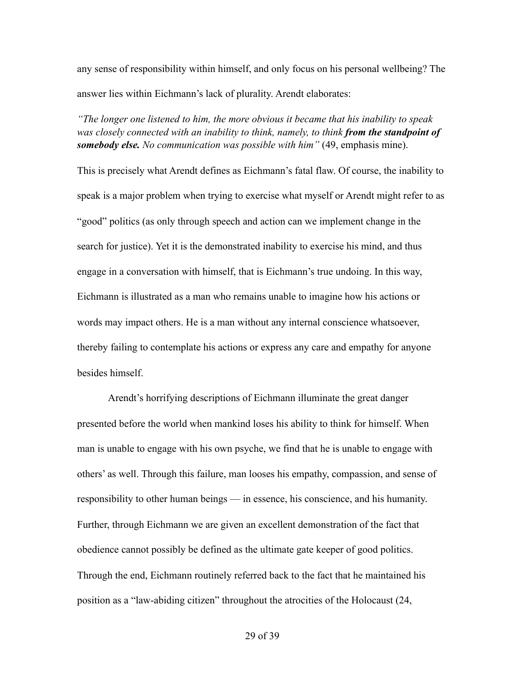any sense of responsibility within himself, and only focus on his personal wellbeing? The answer lies within Eichmann's lack of plurality. Arendt elaborates:

*"The longer one listened to him, the more obvious it became that his inability to speak was closely connected with an inability to think, namely, to think from the standpoint of somebody else. No communication was possible with him"* (49, emphasis mine).

This is precisely what Arendt defines as Eichmann's fatal flaw. Of course, the inability to speak is a major problem when trying to exercise what myself or Arendt might refer to as "good" politics (as only through speech and action can we implement change in the search for justice). Yet it is the demonstrated inability to exercise his mind, and thus engage in a conversation with himself, that is Eichmann's true undoing. In this way, Eichmann is illustrated as a man who remains unable to imagine how his actions or words may impact others. He is a man without any internal conscience whatsoever, thereby failing to contemplate his actions or express any care and empathy for anyone besides himself.

Arendt's horrifying descriptions of Eichmann illuminate the great danger presented before the world when mankind loses his ability to think for himself. When man is unable to engage with his own psyche, we find that he is unable to engage with others' as well. Through this failure, man looses his empathy, compassion, and sense of responsibility to other human beings — in essence, his conscience, and his humanity. Further, through Eichmann we are given an excellent demonstration of the fact that obedience cannot possibly be defined as the ultimate gate keeper of good politics. Through the end, Eichmann routinely referred back to the fact that he maintained his position as a "law-abiding citizen" throughout the atrocities of the Holocaust (24,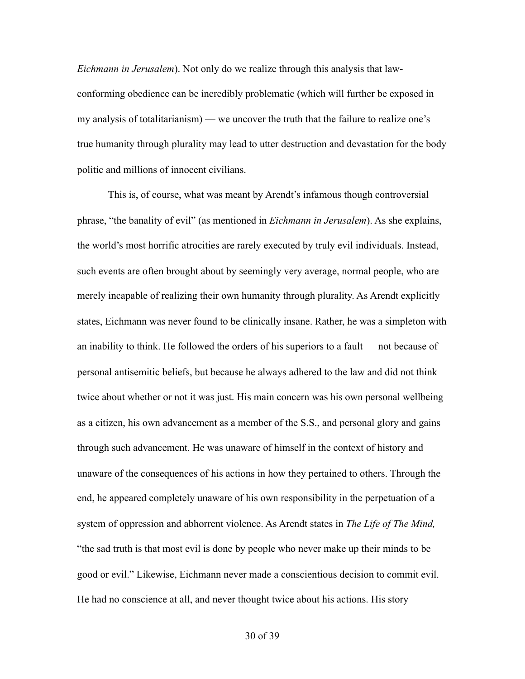*Eichmann in Jerusalem*). Not only do we realize through this analysis that lawconforming obedience can be incredibly problematic (which will further be exposed in my analysis of totalitarianism) — we uncover the truth that the failure to realize one's true humanity through plurality may lead to utter destruction and devastation for the body politic and millions of innocent civilians.

 This is, of course, what was meant by Arendt's infamous though controversial phrase, "the banality of evil" (as mentioned in *Eichmann in Jerusalem*). As she explains, the world's most horrific atrocities are rarely executed by truly evil individuals. Instead, such events are often brought about by seemingly very average, normal people, who are merely incapable of realizing their own humanity through plurality. As Arendt explicitly states, Eichmann was never found to be clinically insane. Rather, he was a simpleton with an inability to think. He followed the orders of his superiors to a fault — not because of personal antisemitic beliefs, but because he always adhered to the law and did not think twice about whether or not it was just. His main concern was his own personal wellbeing as a citizen, his own advancement as a member of the S.S., and personal glory and gains through such advancement. He was unaware of himself in the context of history and unaware of the consequences of his actions in how they pertained to others. Through the end, he appeared completely unaware of his own responsibility in the perpetuation of a system of oppression and abhorrent violence. As Arendt states in *The Life of The Mind,*  "the sad truth is that most evil is done by people who never make up their minds to be good or evil." Likewise, Eichmann never made a conscientious decision to commit evil. He had no conscience at all, and never thought twice about his actions. His story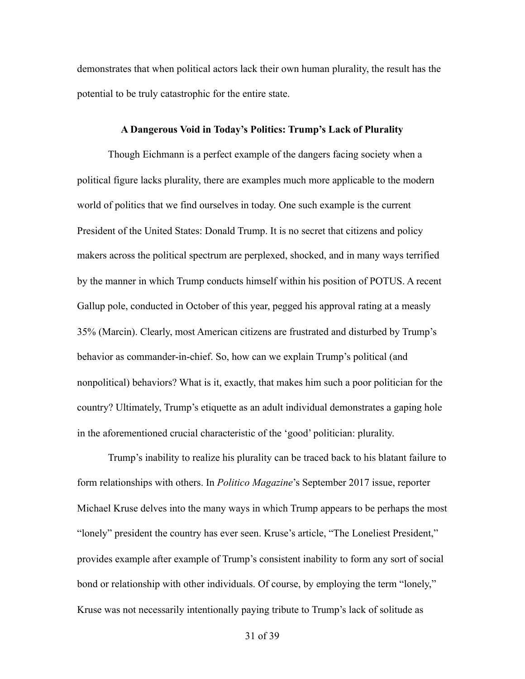demonstrates that when political actors lack their own human plurality, the result has the potential to be truly catastrophic for the entire state.

#### **A Dangerous Void in Today's Politics: Trump's Lack of Plurality**

 Though Eichmann is a perfect example of the dangers facing society when a political figure lacks plurality, there are examples much more applicable to the modern world of politics that we find ourselves in today. One such example is the current President of the United States: Donald Trump. It is no secret that citizens and policy makers across the political spectrum are perplexed, shocked, and in many ways terrified by the manner in which Trump conducts himself within his position of POTUS. A recent Gallup pole, conducted in October of this year, pegged his approval rating at a measly 35% (Marcin). Clearly, most American citizens are frustrated and disturbed by Trump's behavior as commander-in-chief. So, how can we explain Trump's political (and nonpolitical) behaviors? What is it, exactly, that makes him such a poor politician for the country? Ultimately, Trump's etiquette as an adult individual demonstrates a gaping hole in the aforementioned crucial characteristic of the 'good' politician: plurality.

Trump's inability to realize his plurality can be traced back to his blatant failure to form relationships with others. In *Politico Magazine*'s September 2017 issue, reporter Michael Kruse delves into the many ways in which Trump appears to be perhaps the most "lonely" president the country has ever seen. Kruse's article, "The Loneliest President," provides example after example of Trump's consistent inability to form any sort of social bond or relationship with other individuals. Of course, by employing the term "lonely," Kruse was not necessarily intentionally paying tribute to Trump's lack of solitude as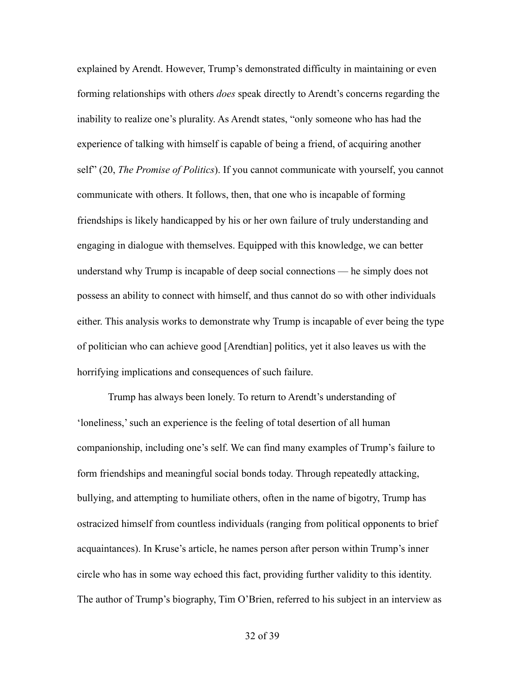explained by Arendt. However, Trump's demonstrated difficulty in maintaining or even forming relationships with others *does* speak directly to Arendt's concerns regarding the inability to realize one's plurality. As Arendt states, "only someone who has had the experience of talking with himself is capable of being a friend, of acquiring another self" (20, *The Promise of Politics*). If you cannot communicate with yourself, you cannot communicate with others. It follows, then, that one who is incapable of forming friendships is likely handicapped by his or her own failure of truly understanding and engaging in dialogue with themselves. Equipped with this knowledge, we can better understand why Trump is incapable of deep social connections — he simply does not possess an ability to connect with himself, and thus cannot do so with other individuals either. This analysis works to demonstrate why Trump is incapable of ever being the type of politician who can achieve good [Arendtian] politics, yet it also leaves us with the horrifying implications and consequences of such failure.

 Trump has always been lonely. To return to Arendt's understanding of 'loneliness,' such an experience is the feeling of total desertion of all human companionship, including one's self. We can find many examples of Trump's failure to form friendships and meaningful social bonds today. Through repeatedly attacking, bullying, and attempting to humiliate others, often in the name of bigotry, Trump has ostracized himself from countless individuals (ranging from political opponents to brief acquaintances). In Kruse's article, he names person after person within Trump's inner circle who has in some way echoed this fact, providing further validity to this identity. The author of Trump's biography, Tim O'Brien, referred to his subject in an interview as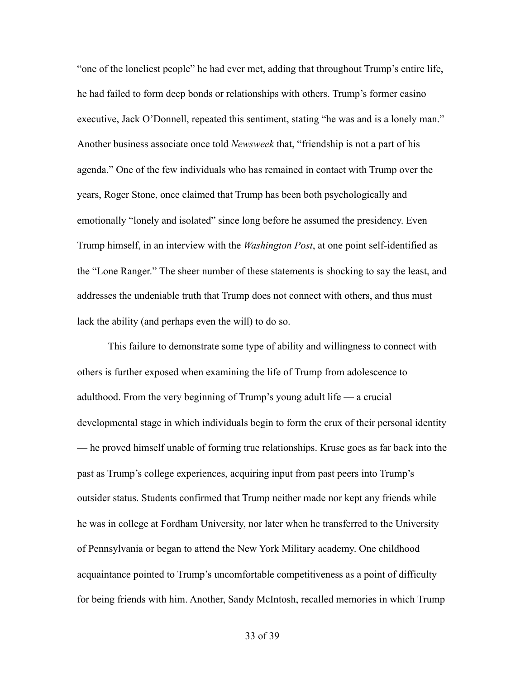"one of the loneliest people" he had ever met, adding that throughout Trump's entire life, he had failed to form deep bonds or relationships with others. Trump's former casino executive, Jack O'Donnell, repeated this sentiment, stating "he was and is a lonely man." Another business associate once told *Newsweek* that, "friendship is not a part of his agenda." One of the few individuals who has remained in contact with Trump over the years, Roger Stone, once claimed that Trump has been both psychologically and emotionally "lonely and isolated" since long before he assumed the presidency. Even Trump himself, in an interview with the *Washington Post*, at one point self-identified as the "Lone Ranger." The sheer number of these statements is shocking to say the least, and addresses the undeniable truth that Trump does not connect with others, and thus must lack the ability (and perhaps even the will) to do so.

 This failure to demonstrate some type of ability and willingness to connect with others is further exposed when examining the life of Trump from adolescence to adulthood. From the very beginning of Trump's young adult life — a crucial developmental stage in which individuals begin to form the crux of their personal identity — he proved himself unable of forming true relationships. Kruse goes as far back into the past as Trump's college experiences, acquiring input from past peers into Trump's outsider status. Students confirmed that Trump neither made nor kept any friends while he was in college at Fordham University, nor later when he transferred to the University of Pennsylvania or began to attend the New York Military academy. One childhood acquaintance pointed to Trump's uncomfortable competitiveness as a point of difficulty for being friends with him. Another, Sandy McIntosh, recalled memories in which Trump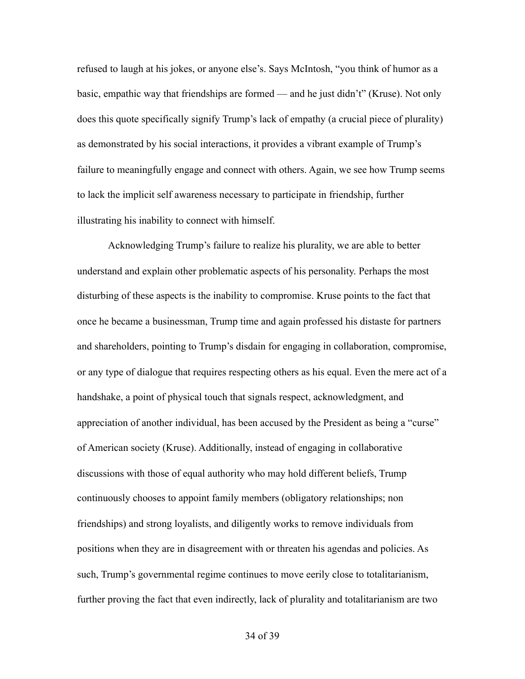refused to laugh at his jokes, or anyone else's. Says McIntosh, "you think of humor as a basic, empathic way that friendships are formed — and he just didn't" (Kruse). Not only does this quote specifically signify Trump's lack of empathy (a crucial piece of plurality) as demonstrated by his social interactions, it provides a vibrant example of Trump's failure to meaningfully engage and connect with others. Again, we see how Trump seems to lack the implicit self awareness necessary to participate in friendship, further illustrating his inability to connect with himself.

 Acknowledging Trump's failure to realize his plurality, we are able to better understand and explain other problematic aspects of his personality. Perhaps the most disturbing of these aspects is the inability to compromise. Kruse points to the fact that once he became a businessman, Trump time and again professed his distaste for partners and shareholders, pointing to Trump's disdain for engaging in collaboration, compromise, or any type of dialogue that requires respecting others as his equal. Even the mere act of a handshake, a point of physical touch that signals respect, acknowledgment, and appreciation of another individual, has been accused by the President as being a "curse" of American society (Kruse). Additionally, instead of engaging in collaborative discussions with those of equal authority who may hold different beliefs, Trump continuously chooses to appoint family members (obligatory relationships; non friendships) and strong loyalists, and diligently works to remove individuals from positions when they are in disagreement with or threaten his agendas and policies. As such, Trump's governmental regime continues to move eerily close to totalitarianism, further proving the fact that even indirectly, lack of plurality and totalitarianism are two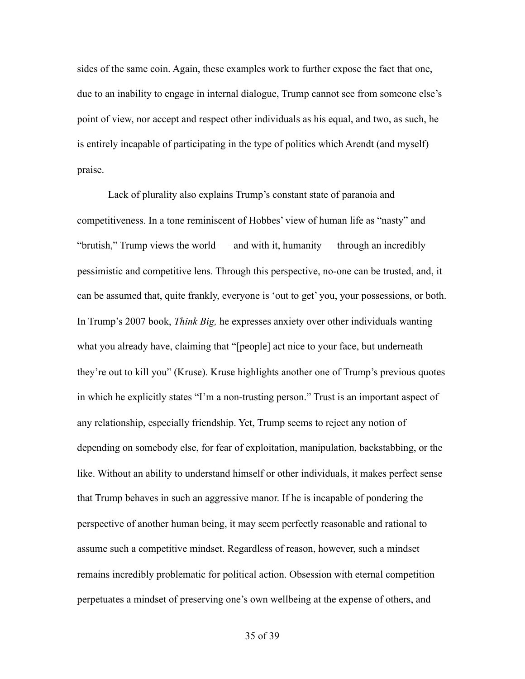sides of the same coin. Again, these examples work to further expose the fact that one, due to an inability to engage in internal dialogue, Trump cannot see from someone else's point of view, nor accept and respect other individuals as his equal, and two, as such, he is entirely incapable of participating in the type of politics which Arendt (and myself) praise.

 Lack of plurality also explains Trump's constant state of paranoia and competitiveness. In a tone reminiscent of Hobbes' view of human life as "nasty" and "brutish," Trump views the world — and with it, humanity — through an incredibly pessimistic and competitive lens. Through this perspective, no-one can be trusted, and, it can be assumed that, quite frankly, everyone is 'out to get' you, your possessions, or both. In Trump's 2007 book, *Think Big,* he expresses anxiety over other individuals wanting what you already have, claiming that "[people] act nice to your face, but underneath they're out to kill you" (Kruse). Kruse highlights another one of Trump's previous quotes in which he explicitly states "I'm a non-trusting person." Trust is an important aspect of any relationship, especially friendship. Yet, Trump seems to reject any notion of depending on somebody else, for fear of exploitation, manipulation, backstabbing, or the like. Without an ability to understand himself or other individuals, it makes perfect sense that Trump behaves in such an aggressive manor. If he is incapable of pondering the perspective of another human being, it may seem perfectly reasonable and rational to assume such a competitive mindset. Regardless of reason, however, such a mindset remains incredibly problematic for political action. Obsession with eternal competition perpetuates a mindset of preserving one's own wellbeing at the expense of others, and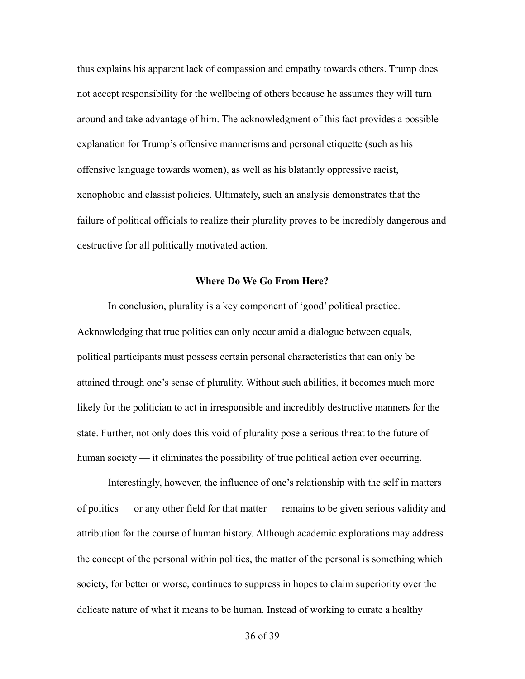thus explains his apparent lack of compassion and empathy towards others. Trump does not accept responsibility for the wellbeing of others because he assumes they will turn around and take advantage of him. The acknowledgment of this fact provides a possible explanation for Trump's offensive mannerisms and personal etiquette (such as his offensive language towards women), as well as his blatantly oppressive racist, xenophobic and classist policies. Ultimately, such an analysis demonstrates that the failure of political officials to realize their plurality proves to be incredibly dangerous and destructive for all politically motivated action.

#### **Where Do We Go From Here?**

In conclusion, plurality is a key component of 'good' political practice. Acknowledging that true politics can only occur amid a dialogue between equals, political participants must possess certain personal characteristics that can only be attained through one's sense of plurality. Without such abilities, it becomes much more likely for the politician to act in irresponsible and incredibly destructive manners for the state. Further, not only does this void of plurality pose a serious threat to the future of human society — it eliminates the possibility of true political action ever occurring.

 Interestingly, however, the influence of one's relationship with the self in matters of politics — or any other field for that matter — remains to be given serious validity and attribution for the course of human history. Although academic explorations may address the concept of the personal within politics, the matter of the personal is something which society, for better or worse, continues to suppress in hopes to claim superiority over the delicate nature of what it means to be human. Instead of working to curate a healthy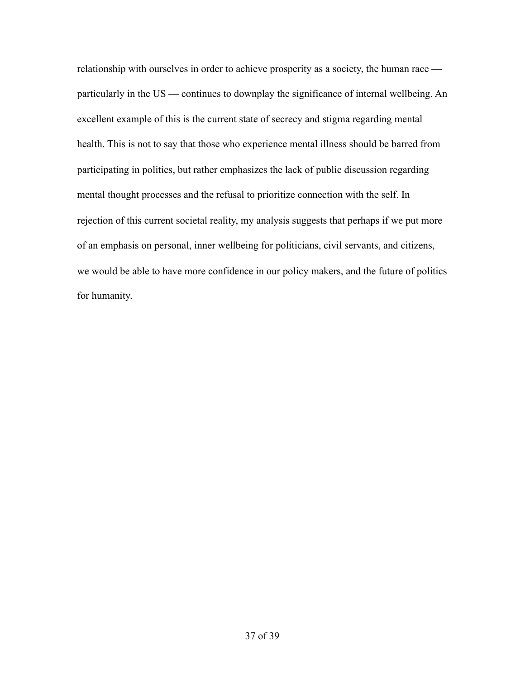relationship with ourselves in order to achieve prosperity as a society, the human race particularly in the US — continues to downplay the significance of internal wellbeing. An excellent example of this is the current state of secrecy and stigma regarding mental health. This is not to say that those who experience mental illness should be barred from participating in politics, but rather emphasizes the lack of public discussion regarding mental thought processes and the refusal to prioritize connection with the self. In rejection of this current societal reality, my analysis suggests that perhaps if we put more of an emphasis on personal, inner wellbeing for politicians, civil servants, and citizens, we would be able to have more confidence in our policy makers, and the future of politics for humanity.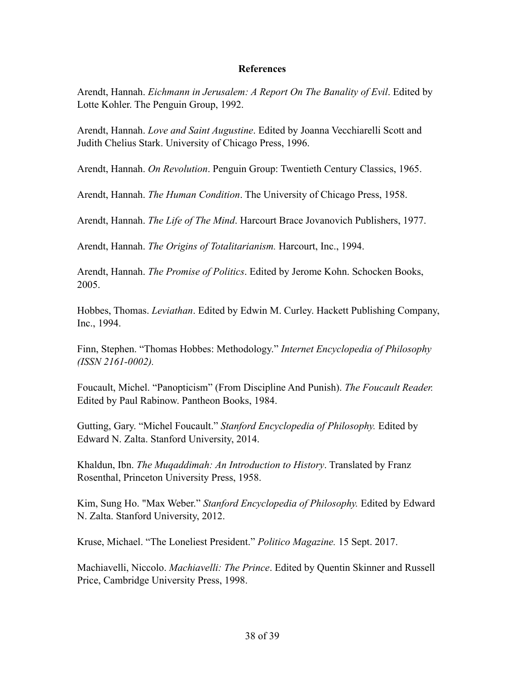### **References**

Arendt, Hannah. *Eichmann in Jerusalem: A Report On The Banality of Evil*. Edited by Lotte Kohler. The Penguin Group, 1992.

Arendt, Hannah. *Love and Saint Augustine*. Edited by Joanna Vecchiarelli Scott and Judith Chelius Stark. University of Chicago Press, 1996.

Arendt, Hannah. *On Revolution*. Penguin Group: Twentieth Century Classics, 1965.

Arendt, Hannah. *The Human Condition*. The University of Chicago Press, 1958.

Arendt, Hannah. *The Life of The Mind*. Harcourt Brace Jovanovich Publishers, 1977.

Arendt, Hannah. *The Origins of Totalitarianism.* Harcourt, Inc., 1994.

Arendt, Hannah. *The Promise of Politics*. Edited by Jerome Kohn. Schocken Books, 2005.

Hobbes, Thomas. *Leviathan*. Edited by Edwin M. Curley. Hackett Publishing Company, Inc., 1994.

Finn, Stephen. "Thomas Hobbes: Methodology." *Internet Encyclopedia of Philosophy (ISSN 2161-0002).* 

Foucault, Michel. "Panopticism" (From Discipline And Punish). *The Foucault Reader.*  Edited by Paul Rabinow. Pantheon Books, 1984.

Gutting, Gary. "Michel Foucault." *Stanford Encyclopedia of Philosophy.* Edited by Edward N. Zalta. Stanford University, 2014.

Khaldun, Ibn. *The Muqaddimah: An Introduction to History*. Translated by Franz Rosenthal, Princeton University Press, 1958.

Kim, Sung Ho. "Max Weber." *Stanford Encyclopedia of Philosophy.* Edited by Edward N. Zalta. Stanford University, 2012.

Kruse, Michael. "The Loneliest President." *Politico Magazine.* 15 Sept. 2017.

Machiavelli, Niccolo. *Machiavelli: The Prince*. Edited by Quentin Skinner and Russell Price, Cambridge University Press, 1998.